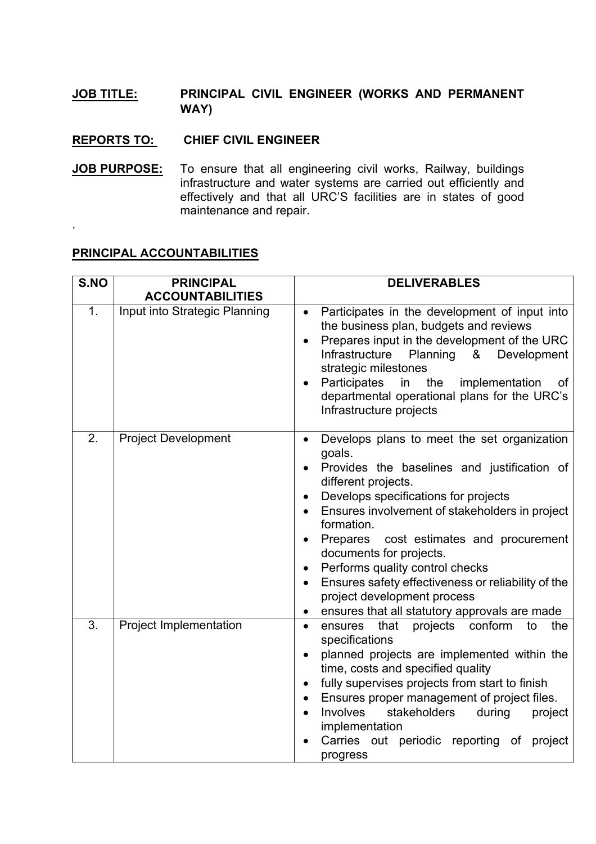## **JOB TITLE: PRINCIPAL CIVIL ENGINEER (WORKS AND PERMANENT WAY)**

## **REPORTS TO: CHIEF CIVIL ENGINEER**

**JOB PURPOSE:** To ensure that all engineering civil works, Railway, buildings infrastructure and water systems are carried out efficiently and effectively and that all URC'S facilities are in states of good maintenance and repair.

## **PRINCIPAL ACCOUNTABILITIES**

.

| S.NO | <b>PRINCIPAL</b><br><b>ACCOUNTABILITIES</b> | <b>DELIVERABLES</b>                                                                                                                                                                                                                                                                                                                                                                                                                                                                                                                    |
|------|---------------------------------------------|----------------------------------------------------------------------------------------------------------------------------------------------------------------------------------------------------------------------------------------------------------------------------------------------------------------------------------------------------------------------------------------------------------------------------------------------------------------------------------------------------------------------------------------|
| 1.   | Input into Strategic Planning               | Participates in the development of input into<br>$\bullet$<br>the business plan, budgets and reviews<br>Prepares input in the development of the URC<br>Infrastructure<br>Planning<br>Development<br>&<br>strategic milestones<br>Participates<br>in<br>the<br>implementation<br>οf<br>$\bullet$<br>departmental operational plans for the URC's<br>Infrastructure projects                                                                                                                                                            |
| 2.   | <b>Project Development</b>                  | Develops plans to meet the set organization<br>$\bullet$<br>goals.<br>Provides the baselines and justification of<br>different projects.<br>Develops specifications for projects<br>$\bullet$<br>Ensures involvement of stakeholders in project<br>formation.<br>Prepares cost estimates and procurement<br>documents for projects.<br>Performs quality control checks<br>$\bullet$<br>Ensures safety effectiveness or reliability of the<br>$\bullet$<br>project development process<br>ensures that all statutory approvals are made |
| 3.   | Project Implementation                      | that<br>projects<br>conform<br>ensures<br>the<br>to<br>$\bullet$<br>specifications<br>planned projects are implemented within the<br>time, costs and specified quality<br>fully supervises projects from start to finish<br>$\bullet$<br>Ensures proper management of project files.<br><b>Involves</b><br>stakeholders<br>during<br>project<br>implementation<br>Carries out periodic reporting of<br>project<br>progress                                                                                                             |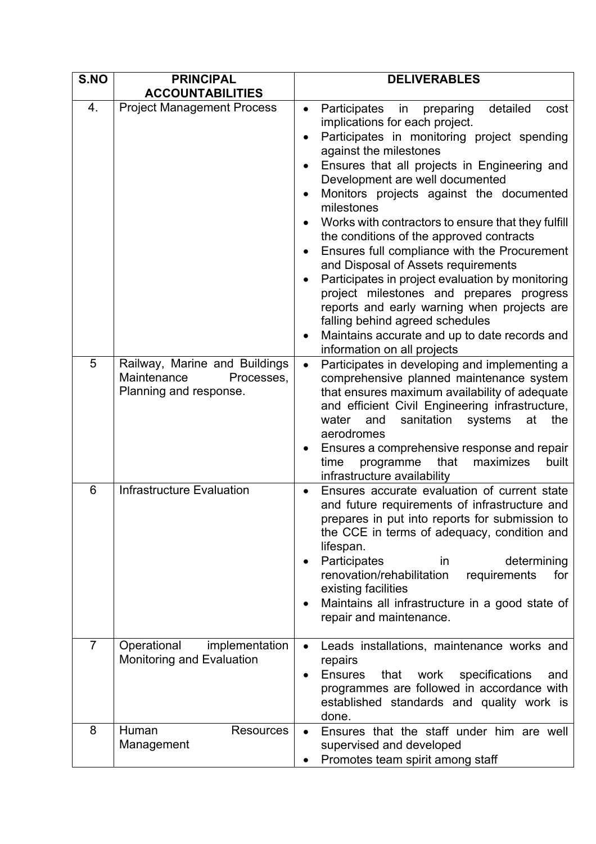| S.NO           | <b>PRINCIPAL</b>                                                                     | <b>DELIVERABLES</b>                                                                                                                                                                                                                                                                                                                                                                                                                                                                                                                                                                                                                                                                                                                                                                              |
|----------------|--------------------------------------------------------------------------------------|--------------------------------------------------------------------------------------------------------------------------------------------------------------------------------------------------------------------------------------------------------------------------------------------------------------------------------------------------------------------------------------------------------------------------------------------------------------------------------------------------------------------------------------------------------------------------------------------------------------------------------------------------------------------------------------------------------------------------------------------------------------------------------------------------|
|                | <b>ACCOUNTABILITIES</b>                                                              |                                                                                                                                                                                                                                                                                                                                                                                                                                                                                                                                                                                                                                                                                                                                                                                                  |
| 4.             | <b>Project Management Process</b>                                                    | detailed<br>Participates<br>preparing<br>in<br>cost<br>$\bullet$<br>implications for each project.<br>Participates in monitoring project spending<br>$\bullet$<br>against the milestones<br>Ensures that all projects in Engineering and<br>Development are well documented<br>Monitors projects against the documented<br>milestones<br>Works with contractors to ensure that they fulfill<br>the conditions of the approved contracts<br>Ensures full compliance with the Procurement<br>and Disposal of Assets requirements<br>Participates in project evaluation by monitoring<br>project milestones and prepares progress<br>reports and early warning when projects are<br>falling behind agreed schedules<br>Maintains accurate and up to date records and<br>information on all projects |
| 5              | Railway, Marine and Buildings<br>Maintenance<br>Processes,<br>Planning and response. | Participates in developing and implementing a<br>comprehensive planned maintenance system<br>that ensures maximum availability of adequate<br>and efficient Civil Engineering infrastructure,<br>water<br>sanitation<br>at<br>the<br>and<br>systems<br>aerodromes<br>Ensures a comprehensive response and repair<br>programme<br>that<br>maximizes<br>time<br>built<br>infrastructure availability                                                                                                                                                                                                                                                                                                                                                                                               |
| 6              | <b>Infrastructure Evaluation</b>                                                     | Ensures accurate evaluation of current state<br>and future requirements of infrastructure and<br>prepares in put into reports for submission to<br>the CCE in terms of adequacy, condition and<br>lifespan.<br>Participates<br>determining<br>in<br>٠<br>renovation/rehabilitation<br>requirements<br>for<br>existing facilities<br>Maintains all infrastructure in a good state of<br>$\bullet$<br>repair and maintenance.                                                                                                                                                                                                                                                                                                                                                                      |
| $\overline{7}$ | Operational<br>implementation<br>Monitoring and Evaluation                           | Leads installations, maintenance works and<br>$\bullet$<br>repairs<br><b>Ensures</b><br>that<br>work<br>specifications<br>and<br>$\bullet$<br>programmes are followed in accordance with<br>established standards and quality work is<br>done.                                                                                                                                                                                                                                                                                                                                                                                                                                                                                                                                                   |
| 8              | Human<br><b>Resources</b><br>Management                                              | Ensures that the staff under him are well<br>supervised and developed<br>Promotes team spirit among staff                                                                                                                                                                                                                                                                                                                                                                                                                                                                                                                                                                                                                                                                                        |